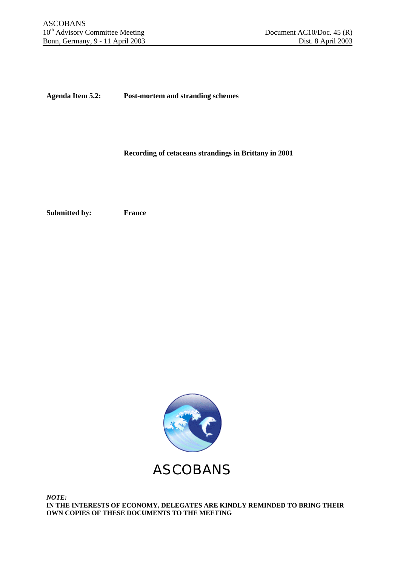**Agenda Item 5.2: Post-mortem and stranding schemes**

**Recording of cetaceans strandings in Brittany in 2001**

**Submitted by: France**



*NOTE:* **IN THE INTERESTS OF ECONOMY, DELEGATES ARE KINDLY REMINDED TO BRING THEIR OWN COPIES OF THESE DOCUMENTS TO THE MEETING**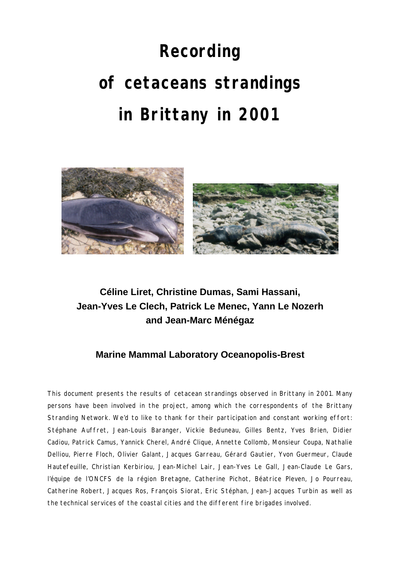# **Recording of cetaceans strandings in Brittany in 2001**



## **Céline Liret, Christine Dumas, Sami Hassani, Jean-Yves Le Clech, Patrick Le Menec, Yann Le Nozerh and Jean-Marc Ménégaz**

### **Marine Mammal Laboratory Oceanopolis-Brest**

This document presents the results of cetacean strandings observed in Brittany in 2001. Many persons have been involved in the project, among which the correspondents of the Brittany Stranding Network. We'd to like to thank for their participation and constant working effort: Stéphane Auffret, Jean-Louis Baranger, Vickie Beduneau, Gilles Bentz, Yves Brien, Didier Cadiou, Patrick Camus, Yannick Cherel, André Clique, Annette Collomb, Monsieur Coupa, Nathalie Delliou, Pierre Floch, Olivier Galant, Jacques Garreau, Gérard Gautier, Yvon Guermeur, Claude Hautefeuille, Christian Kerbiriou, Jean-Michel Lair, Jean-Yves Le Gall, Jean-Claude Le Gars, l'équipe de l'ONCFS de la région Bretagne, Catherine Pichot, Béatrice Pleven, Jo Pourreau, Catherine Robert, Jacques Ros, François Siorat, Eric Stéphan, Jean-Jacques Turbin as well as the technical services of the coastal cities and the different fire brigades involved.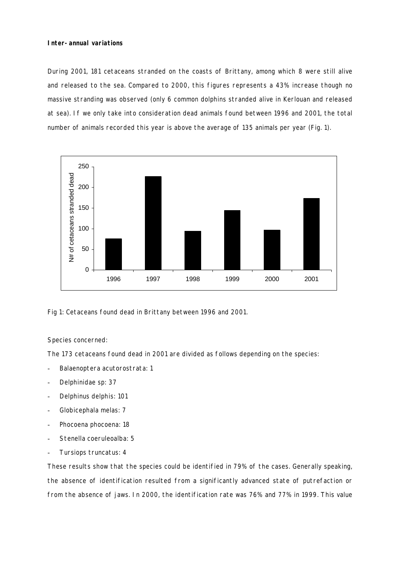#### **Inter-annual variations**

During 2001, 181 cetaceans stranded on the coasts of Brittany, among which 8 were still alive and released to the sea. Compared to 2000, this figures represents a 43% increase though no massive stranding was observed (only 6 common dolphins stranded alive in Kerlouan and released at sea). If we only take into consideration dead animals found between 1996 and 2001, the total number of animals recorded this year is above the average of 135 animals per year (Fig. 1).



Fig 1: Cetaceans found dead in Brittany between 1996 and 2001.

#### Species concerned:

The 173 cetaceans found dead in 2001 are divided as follows depending on the species:

- *Balaenoptera acutorostrata*: 1
- *Delphinidae sp*: 37
- *Delphinus delphis*: 101
- *Globicephala melas*: 7
- *Phocoena phocoena*: 18
- *Stenella coeruleoalba*: 5
- *Tursiops truncatus*: 4

These results show that the species could be identified in 79% of the cases. Generally speaking, the absence of identification resulted from a significantly advanced state of putrefaction or from the absence of jaws. In 2000, the identification rate was 76% and 77% in 1999. This value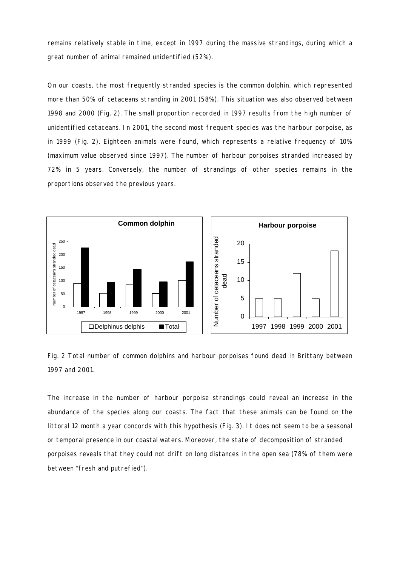remains relatively stable in time, except in 1997 during the massive strandings, during which a great number of animal remained unidentified (52%).

On our coasts, the most frequently stranded species is the common dolphin, which represented more than 50% of cetaceans stranding in 2001 (58%). This situation was also observed between 1998 and 2000 (Fig. 2). The small proportion recorded in 1997 results from the high number of unidentified cetaceans. In 2001, the second most frequent species was the harbour porpoise, as in 1999 (Fig. 2). Eighteen animals were found, which represents a relative frequency of 10% (maximum value observed since 1997). The number of harbour porpoises stranded increased by 72% in 5 years. Conversely, the number of strandings of other species remains in the proportions observed the previous years.



Fig. 2 Total number of common dolphins and harbour porpoises found dead in Brittany between 1997 and 2001.

The increase in the number of harbour porpoise strandings could reveal an increase in the abundance of the species along our coasts. The fact that these animals can be found on the littoral 12 month a year concords with this hypothesis (Fig. 3). It does not seem to be a seasonal or temporal presence in our coastal waters. Moreover, the state of decomposition of stranded porpoises reveals that they could not drift on long distances in the open sea (78% of them were between "fresh and putrefied").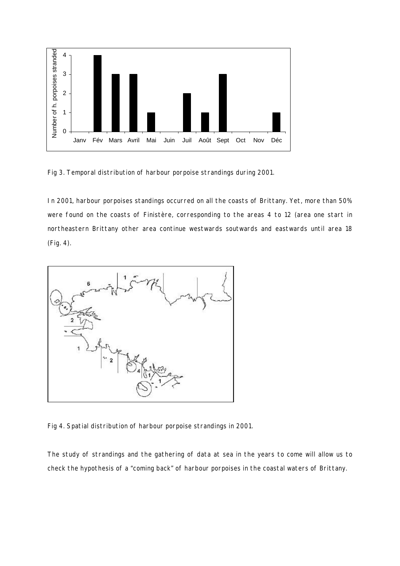

Fig 3. Temporal distribution of harbour porpoise strandings during 2001.

In 2001, harbour porpoises standings occurred on all the coasts of Brittany. Yet, more than 50% were found on the coasts of Finistère, corresponding to the areas 4 to 12 (area one start in northeastern Brittany other area continue westwards soutwards and eastwards until area 18 (Fig. 4).



Fig 4. Spatial distribution of harbour porpoise strandings in 2001.

The study of strandings and the gathering of data at sea in the years to come will allow us to check the hypothesis of a "coming back" of harbour porpoises in the coastal waters of Brittany.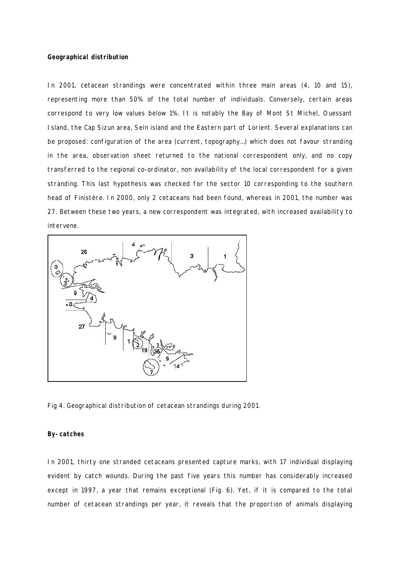#### **Geographical distribution**

In 2001, cetacean strandings were concentrated within three main areas (4, 10 and 15), representing more than 50% of the total number of individuals. Conversely, certain areas correspond to very low values below 1%. It is notably the Bay of Mont St Michel, Ouessant Island, the Cap Sizun area, Sein island and the Eastern part of Lorient. Several explanations can be proposed: configuration of the area (current, topography…) which does not favour stranding in the area, observation sheet returned to the national correspondent only, and no copy transferred to the regional co-ordinator, non availability of the local correspondent for a given stranding. This last hypothesis was checked for the sector 10 corresponding to the southern head of Finistère. In 2000, only 2 cetaceans had been found, whereas in 2001, the number was 27. Between these two years, a new correspondent was integrated, with increased availability to intervene.



Fig 4. Geographical distribution of cetacean strandings during 2001.

#### **By-catches**

In 2001, thirty one stranded cetaceans presented capture marks, with 17 individual displaying evident by catch wounds. During the past five years this number has considerably increased except in 1997, a year that remains exceptional (Fig. 6). Yet, if it is compared to the total number of cetacean strandings per year, it reveals that the proportion of animals displaying